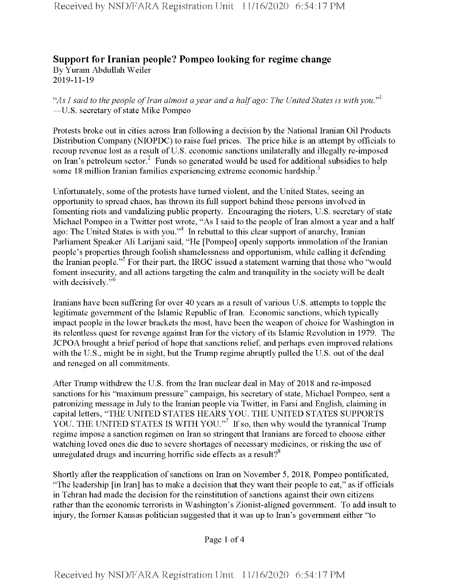## **Support for Iranian people? Pompeo looking for regime change** By Yuram Abdullah Weiler 2019-11-19

*"AsIsaid to the people ofIran almost a year and a halfago: The United States is with you."1* —U.S. secretary of state Mike Pompeo

Protests broke out in cities across Iran following a decision by the National Iranian Oil Products Distribution Company (NIOPDC) to raise fuel prices. The price hike is an attempt by officials to recoup revenue lost as a result of U.S. economic sanctions unilaterally and illegally re-imposed on Iran's petroleum sector.<sup>2</sup> Funds so generated would be used for additional subsidies to help some 18 million Iranian families experiencing extreme economic hardship.<sup>3</sup>

Unfortunately, some of the protests have turned violent, and the United States, seeing an opportunity to spread chaos, has thrown its full support behind those persons involved in fomenting riots and vandalizing public property. Encouraging the rioters, U.S. secretary of state Michael Pompeo in a Twitter post wrote, "As I said to the people of Iran almost a year and a half ago: The United States is with you."<sup>4</sup> In rebuttal to this clear support of anarchy, Iranian Parliament Speaker Ali Larijani said, "He [Pompeo] openly supports immolation of the Iranian people's properties through foolish shamelessness and opportunism, while calling it defending the Iranian people."<sup>5</sup> For their part, the IRGC issued a statement warning that those who "would foment insecurity, and all actions targeting the calm and tranquility in the society will be dealt with decisively."<sup>6</sup>

Iranians have been suffering for over 40 years as a result of various U.S. attempts to topple the legitimate government of the Islamic Republic of Iran. Economic sanctions, which typically impact people in the lower brackets the most, have been the weapon of choice for Washington in its relentless quest for revenge against Iran for the victory of its Islamic Revolution in 1979. The JCPOA brought a brief period of hope that sanctions relief, and perhaps even improved relations with the U.S., might be in sight, but the Trump regime abruptly pulled the U.S. out of the deal and reneged on all commitments.

After Trump withdrew the U.S. from the Iran nuclear deal in May of 2018 and re-imposed sanctions for his "maximum pressure" campaign, his secretary of state, Michael Pompeo, sent a patronizing message in July to the Iranian people via Twitter, in Farsi and English, claiming in capital letters, "THE UNITED STATES HEARS YOU. THE UNITED STATES SUPPORTS YOU. THE UNITED STATES IS WITH YOU."<sup>7</sup> If so, then why would the tyrannical Trump regime impose a sanction regimen on Iran so stringent that Iranians are forced to choose either watching loved ones die due to severe shortages of necessary medicines, or risking the use of unregulated drugs and incurring horrific side effects as a result?<sup>8</sup>

Shortly after the reapplication of sanctions on Iran on November 5, 2018, Pompeo pontificated, "The leadership [in Iran] has to make a decision that they want their people to eat," as if officials in Tehran had made the decision for the reinstitution of sanctions against their own citizens rather than the economic terrorists in Washington's Zionist-aligned government. To add insult to injury, the former Kansas politician suggested that it was up to Iran's government either "to

Page <sup>1</sup> of 4

Received by NSD/FARA Registration Unit 11/16/2020 6:54:17 PM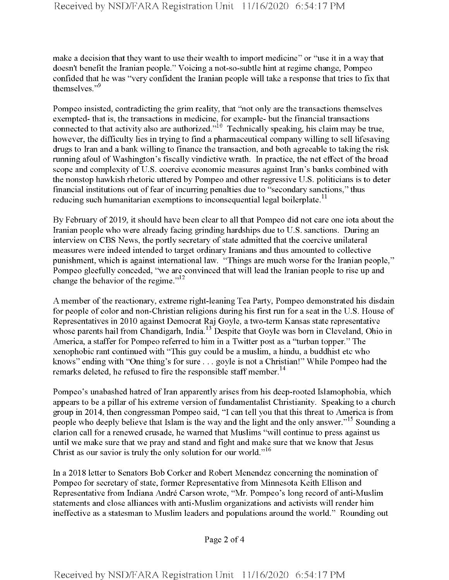make a decision that they want to use their wealth to import medicine" or "use it in a way that doesn't benefit the Iranian people." Voicing a not-so-subtle hint at regime change, Pompeo confided that he was "very confident the Iranian people will take a response that tries to fix that themselves."<sup>9</sup>

Pompeo insisted, contradicting the grim reality, that "not only are the transactions themselves exempted- that is, the transactions in medicine, for example- but the financial transactions connected to that activity also are authorized."<sup>10</sup> Technically speaking, his claim may be true, however, the difficulty lies in trying to find a pharmaceutical company willing to sell lifesaving drugs to Iran and a bank willing to finance the transaction, and both agreeable to taking the risk running afoul of Washington's fiscally vindictive wrath. In practice, the net effect of the broad scope and complexity of U.S. coercive economic measures against Iran's banks combined with the nonstop hawkish rhetoric uttered by Pompeo and other regressive U.S. politicians is to deter financial institutions out of fear of incurring penalties due to "secondary sanctions," thus reducing such humanitarian exemptions to inconsequential legal boilerplate.<sup>11</sup>

By February of 2019, it should have been clearto all that Pompeo did not care one iota about the Iranian people who were already facing grinding hardships due to U.S. sanctions. During an interview on CBS News, the portly secretary of state admitted that the coercive unilateral measures were indeed intended to target ordinary Iranians and thus amounted to collective punishment, which is against international law. "Things are much worse for the Iranian people," Pompeo gleefully conceded, "we are convinced that will lead the Iranian people to rise up and change the behavior of the regime." $12$ 

A member of the reactionary, extreme right-leaning Tea Party, Pompeo demonstrated his disdain for people of color and non-Christian religions during his first run for a seat in the U.S. House of Representatives in 2010 against Democrat Raj Goyle, a two-term Kansas state representative whose parents hail from Chandigarh, India.<sup>13</sup> Despite that Goyle was born in Cleveland, Ohio in America, a staffer for Pompeo referred to him in a Twitter post as a "turban topper." The xenophobic rant continued with "This guy could be a muslim, a hindu, a buddhist etc who knows" ending with "One thing's for sure . . . goyle is not a Christian!" While Pompeo had the remarks deleted, he refused to fire the responsible staff member.<sup>14</sup>

Pompeo's unabashed hatred of Iran apparently arises from his deep-rooted Islamophobia, which appears to be a pillar of his extreme version of fundamentalist Christianity. Speaking to a church group in 2014, then congressman Pompeo said, "I can tell you that this threat to America is from people who deeply believe that Islam is the way and the light and the only answer."15 Sounding a clarion call for a renewed cmsade, he warned that Muslims "will continue to press against us until we make sure that we pray and stand and fight and make sure that we know that Jesus Christ as our savior is truly the only solution for our world."<sup>16</sup>

In a 2018 letter to Senators Bob Corker and Robert Menendez concerning the nomination of Pompeo for secretary of state, former Representative from Minnesota Keith Ellison and Representative from Indiana Andre Carson wrote, "Mr. Pompeo's long record of anti-Muslim statements and close alliances with anti-Muslim organizations and activists will render him ineffective as a statesman to Muslim leaders and populations around the world." Rounding out

Page 2 of 4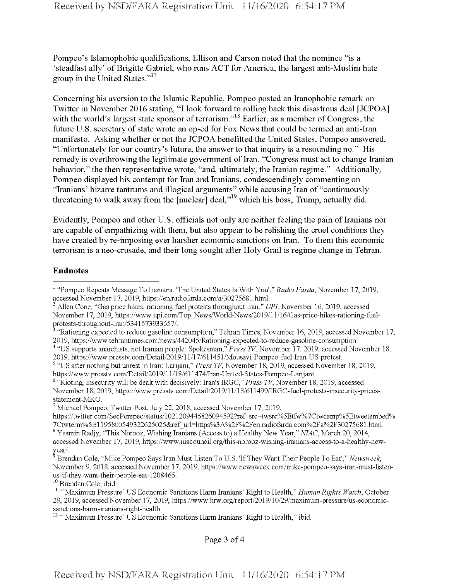Pompeo's Islamophobic qualifications, Ellison and Carson noted that the nominee "is a 'steadfast ally' of Brigitte Gabriel, who runs ACT for America, the largest anti-Muslim hate group in the United States."<sup>17</sup>

Concerning his aversion to the Islamic Republic, Pompeo posted an Iranophobic remark on Twitter in November 2016 stating, "I look forward to rolling back this disastrous deal [JCPOA] with the world's largest state sponsor of terrorism."<sup>18</sup> Earlier, as a member of Congress, the future U.S. secretary of state wrote an op-ed for Fox News that could be termed an anti-Iran manifesto. Asking whether or not the JCPOA benefitted the United States, Pompeo answered, "Unfortunately for our country's future, the answer to that inquiry is a resounding no." His remedy is overthrowing the legitimate government of Iran. "Congress must act to change Iranian behavior," the then representative wrote, "and, ultimately, the Iranian regime." Additionally, Pompeo displayed his contempt for Iran and Iranians, condescendingly commenting on "Iranians' bizarre tantrums and illogical arguments" while accusing Iran of "continuously threatening to walk away from the [nuclear] deal,<sup>19</sup> which his boss, Trump, actually did.

Evidently, Pompeo and other U.S. officials not only are neither feeling the pain of Iranians nor are capable of empathizing with them, but also appear to be relishing the cruel conditions they have created by re-imposing ever harsher economic sanctions on Iran. To them this economic terrorism is a neo-crusade, and their long sought after Holy Grail is regime change in Tehran.

## **Endnotes**

<sup>10</sup> Brendan Cole, ibid.

Page 3 of 4

<sup>1</sup> "Pompeo Repeats Message To Iranians: The United States Is With You'," *Radio Farda,* November 17, 2019, accessed November 17, 2019, https://en.radiofarda.eom/a/30275681.html.

<sup>2</sup> Allen Cone, "Gas price hikes, rationing fuel protests throughout Iran," *UPI,* November 16, 2019, accessed November 17, 2019, https://www.upi.com/Top\_News/World-News/2019/l 1/16/Gas-price-hikes-rationing-fuelprotests-throughout-Iran/5341573933657/.

<sup>&</sup>lt;sup>3</sup> "Rationing expected to reduce gasoline consumption," Tehran Times, November 16, 2019, accessed November 17, 2019, https://www.tehrantimes.com/news/442045/Ratiomng-expected-to-reduce-gasoline-consumption

<sup>&</sup>lt;sup>4</sup> "US supports anarchists, not Iranian people: Spokesman," *Press TV*, November 17, 2019, accessed November 18, 2019, https://www.presstv.eom/Detail/2019/l 1/17/611451/Mousavi-Pompeo-fuel-Iran-US-protest.

<sup>5</sup> "US after nothing but unrest in Iran: Larijani," *Press TV,* November 18, 2019, accessed November 18, 2019, https://www.presstv.eom/Detail/2019/l 1/18/611474/Iran-United-States-Pompeo-Larijani.

<sup>6</sup> "Rioting, insecurity will be dealt with decisively: Iran's IRGC," *Press TV,* November 18, 2019, accessed November 18, 2019, https://www.presstv.com/Detail/2019/ll/18/611499/IRGC-fuel-protests-insecurity-pricesstatement-MKO.

 $^7$  Michael Pompeo, Twitter Post, July 22, 2018, accessed November 17, 2019,

https://twitter.eom/SecPompeo/status/l021209446826094592?ref\_src=twsrc%5Etfw%7Ctwcamp%5Etweetembed% 7Ctwterm%5E1195800549322625025&ref\_url=https%3A%2F%2Fen.radiofarda.com%2Fa%2F30275681.html.

<sup>8</sup> Yasmin Radjy, "This Norooz, Wishing Iranians (Access to) a Healthy New Year," *NIAC,* March 20, 2014, accessed November 17, 2019, https://www.niacouncil.org/this-norooz-wishing-iranians-access-to-a-healthy-newyear/.

<sup>9</sup> Brendan Cole, "Mike Pompeo Says Iran Must Listen To U.S. 'If They Want Their People To Eat'," *Newsweek,* November 9, 2018, accessed November 17, 2019, https://www.newsweek.com/mike-pompeo-says-iran-must-listenus-if-they-want-their-people-eat-1208465.

<sup>&</sup>lt;sup>11</sup> "'Maximum Pressure' US Economic Sanctions Harm Iranians' Right to Health," *Human Rights Watch*, October 29, 2019, accessed November 17, 2019, https://www.hrw.org/report/2019/10/29/maximum-pressure/us-economicsanctions-harm-iranians-right-health.

<sup>&</sup>lt;sup>12</sup> "'Maximum Pressure' US Economic Sanctions Harm Iranians' Right to Health," ibid.